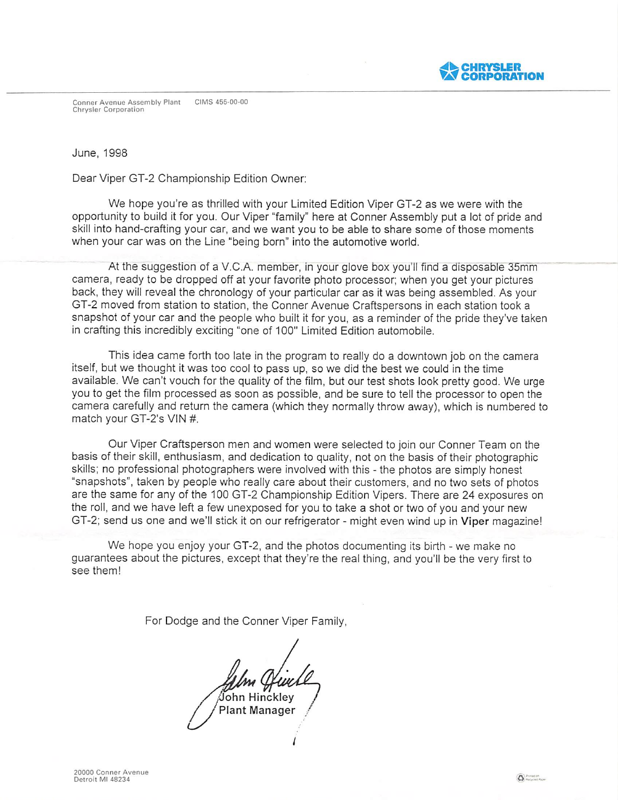**EXPORATION** 

Conner Avenue Assembly Plant CIMS 455-00-00 **Chrysler Corporation** 

June, 1998

Dear Viper GT-2 Championship Edition Owner:

We hope you're as thrilled with your Limited Edition Viper GT-2 as we were with the opportunity to build it for you. Our Viper "family" here at Conner Assembly put a lot of pride and skill into hand-crafting your car, and we want you to be able to share some of those moments when your car was on the Line "being born" into the automotive world.

At the suggestion of a V.C.A. member, in your glove box you'll find a disposable 35mm camera, ready to be dropped off at your favorite photo processor: when you get your pictures back, they will reveal the chronology of your particular car as it was being assembled. As your Gf-2 moved from station to station, the Conner Avenue Craftspersons in each station took a snapshot of your car and the people who built it for you, as a reminder of the pride they've taken in crafting this incredibly exciting "one of 100" Limited Edition automobile.

fhis idea came forth too late in the program to really do a downtown job on the camera itself, but we thought it was too cool to pass up, so we did the best we could in the time available. We can't vouch for the guality of the film, but our test shots look pretty good. We urge you to get the film processed as soon as possible, and be sure to tell the processor to open the camera carefully and return the camera (which they normally throw away), which is numbered to match your GT-2's VIN #.

Our Viper Craftsperson men and women were selected to join our Conner feam on the basis of their skill, enthusiasm, and dedication to guality, not on the basis of their photographic skills; no professional photographers were involved with this - the photos are simply honest "snapshots", taken by people who really care about their customers, and no two sets of photos are the same for any of the 10٥ Gf-2 Championship Edition Vipers, fhere are 24 exposures on the roll, and we have left a few unexposed for you to take a shot or two of you and your new GT-2; send us one and we'll stick it on our refrigerator - might even wind up in Viper magazine!

We hope you enjoy your GT-2, and the photos documenting its birth - we make no guarantees about the pictures, except that they're the real thing, and you'll be the very first to see them!

/

For Dodge and the Conner Viper Family

 $\beta$ ohn Hinckley<br>Plant Manager